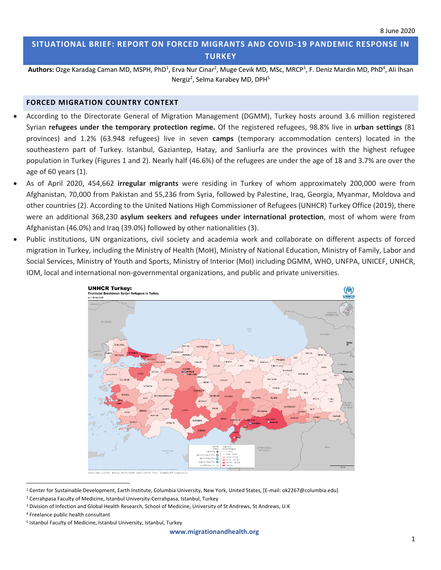# **SITUATIONAL BRIEF: REPORT ON FORCED MIGRANTS AND COVID-19 PANDEMIC RESPONSE IN TURKEY**

Authors: Ozge Karadag Caman MD, MSPH, PhD<sup>1</sup>, Erva Nur Cinar<sup>2</sup>, Muge Cevik MD, MSc, MRCP<sup>3</sup>, F. Deniz Mardin MD, PhD<sup>4</sup>, Ali İhsan Nergiz<sup>2</sup>, Selma Karabey MD, DPH<sup>5</sup>

#### **FORCED MIGRATION COUNTRY CONTEXT**

- According to the Directorate General of Migration Management (DGMM), Turkey hosts around 3.6 million registered Syrian **refugees under the temporary protection regime.** Of the registered refugees, 98.8% live in **urban settings** (81 provinces) and 1.2% (63.948 refugees) live in seven **camps** (temporary accommodation centers) located in the southeastern part of Turkey. Istanbul, Gaziantep, Hatay, and Sanliurfa are the provinces with the highest refugee population in Turkey (Figures 1 and 2). Nearly half (46.6%) of the refugees are under the age of 18 and 3.7% are over the age of 60 years (1).
- As of April 2020, 454,662 **irregular migrants** were residing in Turkey of whom approximately 200,000 were from Afghanistan, 70,000 from Pakistan and 55,236 from Syria, followed by Palestine, Iraq, Georgia, Myanmar, Moldova and other countries (2). According to the United Nations High Commissioner of Refugees (UNHCR) Turkey Office (2019), there were an additional 368,230 **asylum seekers and refugees under international protection**, most of whom were from Afghanistan (46.0%) and Iraq (39.0%) followed by other nationalities (3).
- Public institutions, UN organizations, civil society and academia work and collaborate on different aspects of forced migration in Turkey, including the Ministry of Health (MoH), Ministry of National Education, Ministry of Family, Labor and Social Services, Ministry of Youth and Sports, Ministry of Interior (MoI) including DGMM, WHO, UNFPA, UNICEF, UNHCR, IOM, local and international non-governmental organizations, and public and private universities.



<sup>&</sup>lt;sup>1</sup> Center for Sustainable Development, Earth Institute, Columbia University, New York, United States, [E-mail: ok2267@columbia.edu]

<sup>2</sup> Cerrahpasa Faculty of Medicine, Istanbul University-Cerrahpasa, Istanbul, Turkey

<sup>&</sup>lt;sup>3</sup> Division of Infection and Global Health Research, School of Medicine, University of St Andrews, St Andrews, U.K

<sup>4</sup> Freelance public health consultant

<sup>5</sup> Istanbul Faculty of Medicine, Istanbul University, Istanbul, Turkey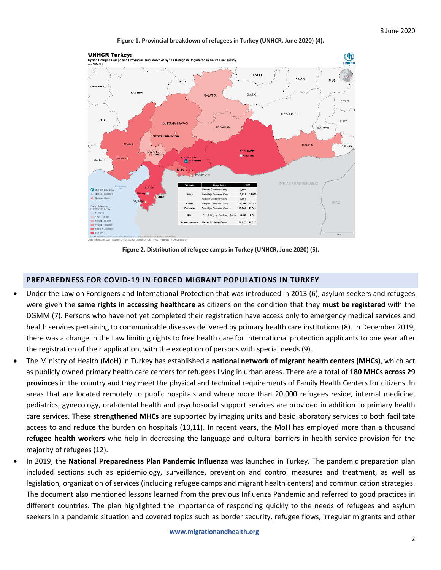#### **Figure 1. Provincial breakdown of refugees in Turkey (UNHCR, June 2020) (4).**



**Figure 2. Distribution of refugee camps in Turkey (UNHCR, June 2020) (5).**

#### **PREPAREDNESS FOR COVID-19 IN FORCED MIGRANT POPULATIONS IN TURKEY**

- Under the Law on Foreigners and International Protection that was introduced in 2013 (6), asylum seekers and refugees were given the **same rights in accessing healthcare** as citizens on the condition that they **must be registered** with the DGMM (7). Persons who have not yet completed their registration have access only to emergency medical services and health services pertaining to communicable diseases delivered by primary health care institutions (8). In December 2019, there was a change in the Law limiting rights to free health care for international protection applicants to one year after the registration of their application, with the exception of persons with special needs (9).
- The Ministry of Health (MoH) in Turkey has established a **national network of migrant health centers (MHCs)**, which act as publicly owned primary health care centers for refugees living in urban areas. There are a total of **180 MHCs across 29 provinces** in the country and they meet the physical and technical requirements of Family Health Centers for citizens. In areas that are located remotely to public hospitals and where more than 20,000 refugees reside, internal medicine, pediatrics, gynecology, oral-dental health and psychosocial support services are provided in addition to primary health care services. These **strengthened MHCs** are supported by imaging units and basic laboratory services to both facilitate access to and reduce the burden on hospitals (10,11). In recent years, the MoH has employed more than a thousand **refugee health workers** who help in decreasing the language and cultural barriers in health service provision for the majority of refugees (12).
- In 2019, the **National Preparedness Plan Pandemic Influenza** was launched in Turkey. The pandemic preparation plan included sections such as epidemiology, surveillance, prevention and control measures and treatment, as well as legislation, organization of services (including refugee camps and migrant health centers) and communication strategies. The document also mentioned lessons learned from the previous Influenza Pandemic and referred to good practices in different countries. The plan highlighted the importance of responding quickly to the needs of refugees and asylum seekers in a pandemic situation and covered topics such as border security, refugee flows, irregular migrants and other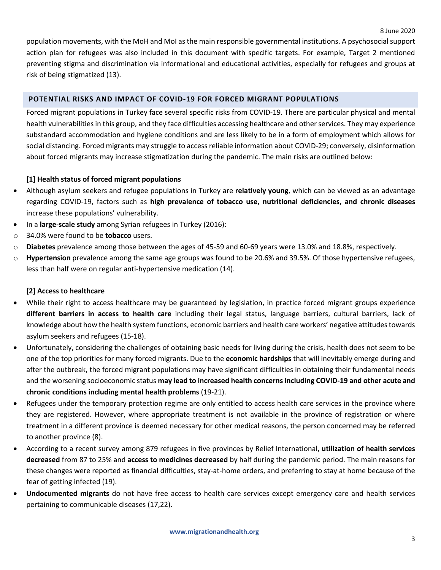8 June 2020

population movements, with the MoH and MoI asthe main responsible governmental institutions. A psychosocial support action plan for refugees was also included in this document with specific targets. For example, Target 2 mentioned preventing stigma and discrimination via informational and educational activities, especially for refugees and groups at risk of being stigmatized (13).

## **POTENTIAL RISKS AND IMPACT OF COVID-19 FOR FORCED MIGRANT POPULATIONS**

Forced migrant populations in Turkey face several specific risks from COVID-19. There are particular physical and mental health vulnerabilities in this group, and they face difficulties accessing healthcare and other services. They may experience substandard accommodation and hygiene conditions and are less likely to be in a form of employment which allows for social distancing. Forced migrants may struggle to access reliable information about COVID-29; conversely, disinformation about forced migrants may increase stigmatization during the pandemic. The main risks are outlined below:

## **[1] Health status of forced migrant populations**

- Although asylum seekers and refugee populations in Turkey are **relatively young**, which can be viewed as an advantage regarding COVID-19, factors such as **high prevalence of tobacco use, nutritional deficiencies, and chronic diseases** increase these populations' vulnerability.
- In a **large-scale study** among Syrian refugees in Turkey (2016):
- o 34.0% were found to be **tobacco** users.
- o **Diabetes** prevalence among those between the ages of 45-59 and 60-69 years were 13.0% and 18.8%, respectively.
- o **Hypertension** prevalence among the same age groups was found to be 20.6% and 39.5%. Of those hypertensive refugees, less than half were on regular anti-hypertensive medication (14).

## **[2] Access to healthcare**

- While their right to access healthcare may be guaranteed by legislation, in practice forced migrant groups experience **different barriers in access to health care** including their legal status, language barriers, cultural barriers, lack of knowledge about how the health system functions, economic barriers and health care workers' negative attitudes towards asylum seekers and refugees (15-18).
- Unfortunately, considering the challenges of obtaining basic needs for living during the crisis, health does not seem to be one of the top priorities for many forced migrants. Due to the **economic hardships** that will inevitably emerge during and after the outbreak, the forced migrant populations may have significant difficulties in obtaining their fundamental needs and the worsening socioeconomic status **may lead to increased health concerns including COVID-19 and other acute and chronic conditions including mental health problems** (19-21).
- Refugees under the temporary protection regime are only entitled to access health care services in the province where they are registered. However, where appropriate treatment is not available in the province of registration or where treatment in a different province is deemed necessary for other medical reasons, the person concerned may be referred to another province (8).
- According to a recent survey among 879 refugees in five provinces by Relief International, **utilization of health services decreased** from 87 to 25% and **access to medicines decreased** by half during the pandemic period. The main reasons for these changes were reported as financial difficulties, stay-at-home orders, and preferring to stay at home because of the fear of getting infected (19).
- **Undocumented migrants** do not have free access to health care services except emergency care and health services pertaining to communicable diseases (17,22).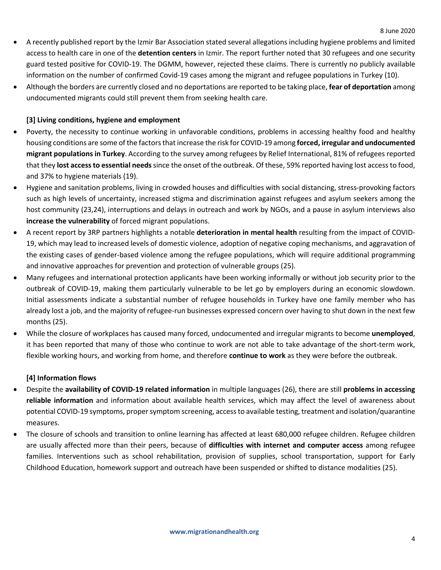- A recently published report by the Izmir Bar Association stated several allegations including hygiene problems and limited access to health care in one of the **detention centers** in Izmir. The report further noted that 30 refugees and one security guard tested positive for COVID-19. The DGMM, however, rejected these claims. There is currently no publicly available information on the number of confirmed Covid-19 cases among the migrant and refugee populations in Turkey (10).
- Although the borders are currently closed and no deportations are reported to be taking place, **fear of deportation** among undocumented migrants could still prevent them from seeking health care.

## **[3] Living conditions, hygiene and employment**

- Poverty, the necessity to continue working in unfavorable conditions, problems in accessing healthy food and healthy housing conditions are some of the factors that increase the risk for COVID-19 among **forced, irregular and undocumented migrant populations in Turkey**. According to the survey among refugees by Relief International, 81% of refugees reported that they **lost access to essential needs**since the onset of the outbreak. Of these, 59% reported having lost access to food, and 37% to hygiene materials (19).
- Hygiene and sanitation problems, living in crowded houses and difficulties with social distancing, stress-provoking factors such as high levels of uncertainty, increased stigma and discrimination against refugees and asylum seekers among the host community (23,24), interruptions and delays in outreach and work by NGOs, and a pause in asylum interviews also **increase the vulnerability** of forced migrant populations.
- A recent report by 3RP partners highlights a notable **deterioration in mental health** resulting from the impact of COVID-19, which may lead to increased levels of domestic violence, adoption of negative coping mechanisms, and aggravation of the existing cases of gender-based violence among the refugee populations, which will require additional programming and innovative approaches for prevention and protection of vulnerable groups (25).
- Many refugees and international protection applicants have been working informally or without job security prior to the outbreak of COVID-19, making them particularly vulnerable to be let go by employers during an economic slowdown. Initial assessments indicate a substantial number of refugee households in Turkey have one family member who has already lost a job, and the majority of refugee-run businesses expressed concern over having to shut down in the next few months (25).
- While the closure of workplaces has caused many forced, undocumented and irregular migrants to become **unemployed**, it has been reported that many of those who continue to work are not able to take advantage of the short-term work, flexible working hours, and working from home, and therefore **continue to work** as they were before the outbreak.

## **[4] Information flows**

- Despite the **availability of COVID-19 related information** in multiple languages (26), there are still **problems in accessing reliable information** and information about available health services, which may affect the level of awareness about potential COVID-19 symptoms, proper symptom screening, access to available testing, treatment and isolation/quarantine measures.
- The closure of schools and transition to online learning has affected at least 680,000 refugee children. Refugee children are usually affected more than their peers, because of **difficulties with internet and computer access** among refugee families. Interventions such as school rehabilitation, provision of supplies, school transportation, support for Early Childhood Education, homework support and outreach have been suspended or shifted to distance modalities (25).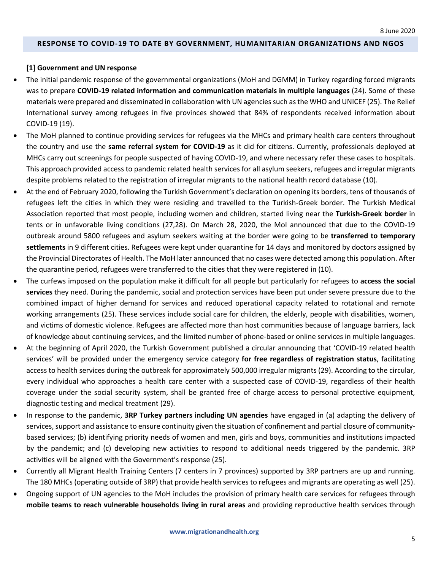#### **RESPONSE TO COVID-19 TO DATE BY GOVERNMENT, HUMANITARIAN ORGANIZATIONS AND NGOS**

### **[1] Government and UN response**

- The initial pandemic response of the governmental organizations (MoH and DGMM) in Turkey regarding forced migrants was to prepare **COVID-19 related information and communication materials in multiple languages** (24). Some of these materials were prepared and disseminated in collaboration with UN agencies such as the WHO and UNICEF (25). The Relief International survey among refugees in five provinces showed that 84% of respondents received information about COVID-19 (19).
- The MoH planned to continue providing services for refugees via the MHCs and primary health care centers throughout the country and use the **same referral system for COVID-19** as it did for citizens. Currently, professionals deployed at MHCs carry out screenings for people suspected of having COVID-19, and where necessary refer these cases to hospitals. This approach provided access to pandemic related health services for all asylum seekers, refugees and irregular migrants despite problems related to the registration of irregular migrants to the national health record database (10).
- At the end of February 2020, following the Turkish Government's declaration on opening its borders, tens of thousands of refugees left the cities in which they were residing and travelled to the Turkish-Greek border. The Turkish Medical Association reported that most people, including women and children, started living near the **Turkish-Greek border** in tents or in unfavorable living conditions (27,28). On March 28, 2020, the MoI announced that due to the COVID-19 outbreak around 5800 refugees and asylum seekers waiting at the border were going to be **transferred to temporary settlements** in 9 different cities. Refugees were kept under quarantine for 14 days and monitored by doctors assigned by the Provincial Directorates of Health. The MoH later announced that no cases were detected among this population. After the quarantine period, refugees were transferred to the cities that they were registered in (10).
- The curfews imposed on the population make it difficult for all people but particularly for refugees to **access the social services** they need. During the pandemic, social and protection services have been put under severe pressure due to the combined impact of higher demand for services and reduced operational capacity related to rotational and remote working arrangements (25). These services include social care for children, the elderly, people with disabilities, women, and victims of domestic violence. Refugees are affected more than host communities because of language barriers, lack of knowledge about continuing services, and the limited number of phone-based or online services in multiple languages.
- At the beginning of April 2020, the Turkish Government published a circular announcing that 'COVID-19 related health services' will be provided under the emergency service category **for free regardless of registration status**, facilitating access to health services during the outbreak for approximately 500,000 irregular migrants (29). According to the circular, every individual who approaches a health care center with a suspected case of COVID-19, regardless of their health coverage under the social security system, shall be granted free of charge access to personal protective equipment, diagnostic testing and medical treatment (29).
- In response to the pandemic, **3RP Turkey partners including UN agencies** have engaged in (a) adapting the delivery of services, support and assistance to ensure continuity given the situation of confinement and partial closure of communitybased services; (b) identifying priority needs of women and men, girls and boys, communities and institutions impacted by the pandemic; and (c) developing new activities to respond to additional needs triggered by the pandemic. 3RP activities will be aligned with the Government's response (25).
- Currently all Migrant Health Training Centers (7 centers in 7 provinces) supported by 3RP partners are up and running. The 180 MHCs (operating outside of 3RP) that provide health services to refugees and migrants are operating as well (25).
- Ongoing support of UN agencies to the MoH includes the provision of primary health care services for refugees through **mobile teams to reach vulnerable households living in rural areas** and providing reproductive health services through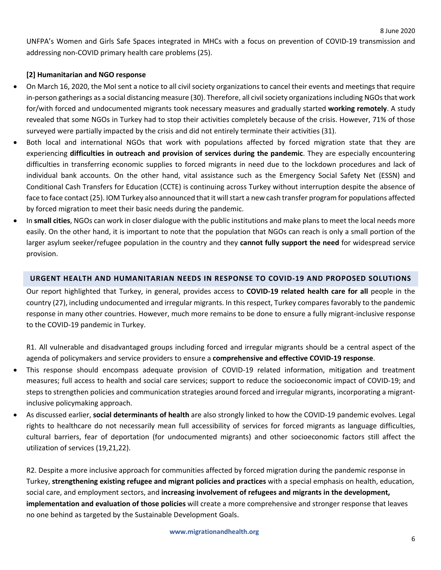UNFPA's Women and Girls Safe Spaces integrated in MHCs with a focus on prevention of COVID-19 transmission and addressing non-COVID primary health care problems (25).

## **[2] Humanitarian and NGO response**

- On March 16, 2020, the MoI sent a notice to all civil society organizations to cancel their events and meetings that require in-person gatherings as a social distancing measure (30). Therefore, all civil society organizations including NGOs that work for/with forced and undocumented migrants took necessary measures and gradually started **working remotely**. A study revealed that some NGOs in Turkey had to stop their activities completely because of the crisis. However, 71% of those surveyed were partially impacted by the crisis and did not entirely terminate their activities (31).
- Both local and international NGOs that work with populations affected by forced migration state that they are experiencing **difficulties in outreach and provision of services during the pandemic**. They are especially encountering difficulties in transferring economic supplies to forced migrants in need due to the lockdown procedures and lack of individual bank accounts. On the other hand, vital assistance such as the Emergency Social Safety Net (ESSN) and Conditional Cash Transfers for Education (CCTE) is continuing across Turkey without interruption despite the absence of face to face contact (25). IOM Turkey also announced that it will start a new cash transfer program for populations affected by forced migration to meet their basic needs during the pandemic.
- In **small cities**, NGOs can work in closer dialogue with the public institutions and make plans to meet the local needs more easily. On the other hand, it is important to note that the population that NGOs can reach is only a small portion of the larger asylum seeker/refugee population in the country and they **cannot fully support the need** for widespread service provision.

### **URGENT HEALTH AND HUMANITARIAN NEEDS IN RESPONSE TO COVID-19 AND PROPOSED SOLUTIONS**

Our report highlighted that Turkey, in general, provides access to **COVID-19 related health care for all** people in the country (27), including undocumented and irregular migrants. In this respect, Turkey compares favorably to the pandemic response in many other countries. However, much more remains to be done to ensure a fully migrant-inclusive response to the COVID-19 pandemic in Turkey.

R1. All vulnerable and disadvantaged groups including forced and irregular migrants should be a central aspect of the agenda of policymakers and service providers to ensure a **comprehensive and effective COVID-19 response**.

- This response should encompass adequate provision of COVID-19 related information, mitigation and treatment measures; full access to health and social care services; support to reduce the socioeconomic impact of COVID-19; and steps to strengthen policies and communication strategies around forced and irregular migrants, incorporating a migrantinclusive policymaking approach.
- As discussed earlier, **social determinants of health** are also strongly linked to how the COVID-19 pandemic evolves. Legal rights to healthcare do not necessarily mean full accessibility of services for forced migrants as language difficulties, cultural barriers, fear of deportation (for undocumented migrants) and other socioeconomic factors still affect the utilization of services (19,21,22).

R2. Despite a more inclusive approach for communities affected by forced migration during the pandemic response in Turkey, **strengthening existing refugee and migrant policies and practices** with a special emphasis on health, education, social care, and employment sectors, and **increasing involvement of refugees and migrants in the development, implementation and evaluation of those policies** will create a more comprehensive and stronger response that leaves no one behind as targeted by the Sustainable Development Goals.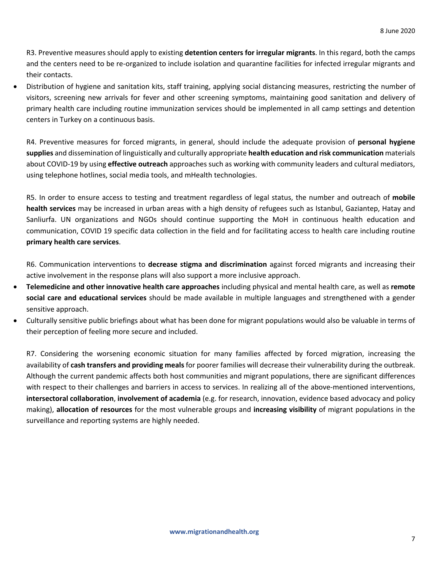R3. Preventive measures should apply to existing **detention centers for irregular migrants**. In this regard, both the camps and the centers need to be re-organized to include isolation and quarantine facilities for infected irregular migrants and their contacts.

• Distribution of hygiene and sanitation kits, staff training, applying social distancing measures, restricting the number of visitors, screening new arrivals for fever and other screening symptoms, maintaining good sanitation and delivery of primary health care including routine immunization services should be implemented in all camp settings and detention centers in Turkey on a continuous basis.

R4. Preventive measures for forced migrants, in general, should include the adequate provision of **personal hygiene supplies** and dissemination of linguistically and culturally appropriate **health education and risk communication** materials about COVID-19 by using **effective outreach** approaches such as working with community leaders and cultural mediators, using telephone hotlines, social media tools, and mHealth technologies.

R5. In order to ensure access to testing and treatment regardless of legal status, the number and outreach of **mobile health services** may be increased in urban areas with a high density of refugees such as Istanbul, Gaziantep, Hatay and Sanliurfa. UN organizations and NGOs should continue supporting the MoH in continuous health education and communication, COVID 19 specific data collection in the field and for facilitating access to health care including routine **primary health care services**.

R6. Communication interventions to **decrease stigma and discrimination** against forced migrants and increasing their active involvement in the response plans will also support a more inclusive approach.

- **Telemedicine and other innovative health care approaches** including physical and mental health care, as well as **remote social care and educational services** should be made available in multiple languages and strengthened with a gender sensitive approach.
- Culturally sensitive public briefings about what has been done for migrant populations would also be valuable in terms of their perception of feeling more secure and included.

R7. Considering the worsening economic situation for many families affected by forced migration, increasing the availability of **cash transfers and providing meals** for poorer families will decrease their vulnerability during the outbreak. Although the current pandemic affects both host communities and migrant populations, there are significant differences with respect to their challenges and barriers in access to services. In realizing all of the above-mentioned interventions, **intersectoral collaboration**, **involvement of academia** (e.g. for research, innovation, evidence based advocacy and policy making), **allocation of resources** for the most vulnerable groups and **increasing visibility** of migrant populations in the surveillance and reporting systems are highly needed.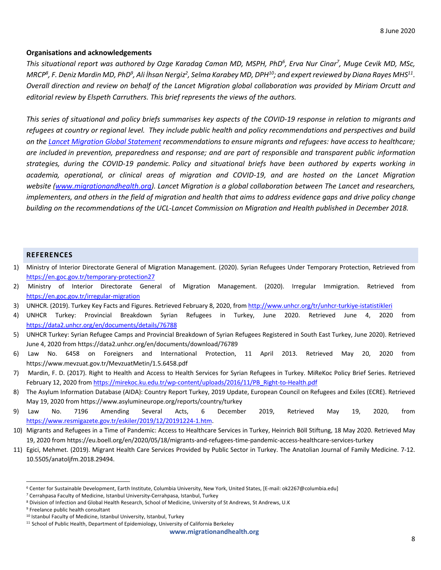#### **Organisations and acknowledgements**

*This situational report was authored by Ozge Karadag Caman MD, MSPH, PhD6 , Erva Nur Cinar7 , Muge Cevik MD, MSc,*   $\Delta M RCP^8$ , F. Deniz Mardin MD, PhD $^9$ , Ali İhsan Nergiz $^2$ , Selma Karabey MD, DPH $^{10}$ ; and expert reviewed by Diana Rayes MHS $^{11}$ . *Overall direction and review on behalf of the Lancet Migration global collaboration was provided by Miriam Orcutt and editorial review by Elspeth Carruthers. This brief represents the views of the authors.* 

*This series of situational and policy briefs summarises key aspects of the COVID-19 response in relation to migrants and refugees at country or regional level. They include public health and policy recommendations and perspectives and build on the Lancet Migration Global Statement recommendations to ensure migrants and refugees: have access to healthcare; are included in prevention, preparedness and response; and are part of responsible and transparent public information strategies, during the COVID-19 pandemic. Policy and situational briefs have been authored by experts working in academia, operational, or clinical areas of migration and COVID-19, and are hosted on the Lancet Migration website (www.migrationandhealth.org). Lancet Migration is a global collaboration between The Lancet and researchers, implementers, and others in the field of migration and health that aims to address evidence gaps and drive policy change building on the recommendations of the UCL-Lancet Commission on Migration and Health published in December 2018.*

#### **REFERENCES**

- 1) Ministry of Interior Directorate General of Migration Management. (2020). Syrian Refugees Under Temporary Protection, Retrieved from https://en.goc.gov.tr/temporary-protection27
- 2) Ministry of Interior Directorate General of Migration Management. (2020). Irregular Immigration. Retrieved from https://en.goc.gov.tr/irregular-migration
- 3) UNHCR. (2019). Turkey Key Facts and Figures. Retrieved February 8, 2020, from http://www.unhcr.org/tr/unhcr-turkiye-istatistikleri
- 4) UNHCR Turkey: Provincial Breakdown Syrian Refugees in Turkey, June 2020. Retrieved June 4, 2020 from https://data2.unhcr.org/en/documents/details/76788
- 5) UNHCR Turkey: Syrian Refugee Camps and Provincial Breakdown of Syrian Refugees Registered in South East Turkey, June 2020). Retrieved June 4, 2020 from https://data2.unhcr.org/en/documents/download/76789
- 6) Law No. 6458 on Foreigners and International Protection, 11 April 2013. Retrieved May 20, 2020 from https://www.mevzuat.gov.tr/MevzuatMetin/1.5.6458.pdf
- 7) Mardin, F. D. (2017). Right to Health and Access to Health Services for Syrian Refugees in Turkey. MiReKoc Policy Brief Series. Retrieved February 12, 2020 from https://mirekoc.ku.edu.tr/wp-content/uploads/2016/11/PB\_Right-to-Health.pdf
- 8) The Asylum Information Database (AIDA): Country Report Turkey, 2019 Update, European Council on Refugees and Exiles (ECRE). Retrieved May 19, 2020 from https://www.asylumineurope.org/reports/country/turkey
- 9) Law No. 7196 Amending Several Acts, 6 December 2019, Retrieved May 19, 2020, from https://www.resmigazete.gov.tr/eskiler/2019/12/20191224-1.htm.
- 10) Migrants and Refugees in a Time of Pandemic: Access to Healthcare Services in Turkey, Heinrich Böll Stiftung, 18 May 2020. Retrieved May 19, 2020 from https://eu.boell.org/en/2020/05/18/migrants-and-refugees-time-pandemic-access-healthcare-services-turkey
- 11) Egici, Mehmet. (2019). Migrant Health Care Services Provided by Public Sector in Turkey. The Anatolian Journal of Family Medicine. 7-12. 10.5505/anatoljfm.2018.29494.

<sup>6</sup> Center for Sustainable Development, Earth Institute, Columbia University, New York, United States, [E-mail: ok2267@columbia.edu]

<sup>7</sup> Cerrahpasa Faculty of Medicine, Istanbul University-Cerrahpasa, Istanbul, Turkey

<sup>8</sup> Division of Infection and Global Health Research, School of Medicine, University of St Andrews, St Andrews, U.K

<sup>&</sup>lt;sup>9</sup> Freelance public health consultant

<sup>&</sup>lt;sup>10</sup> Istanbul Faculty of Medicine, Istanbul University, Istanbul, Turkey

<sup>&</sup>lt;sup>11</sup> School of Public Health, Department of Epidemiology, University of California Berkeley

**www.migrationandhealth.org**